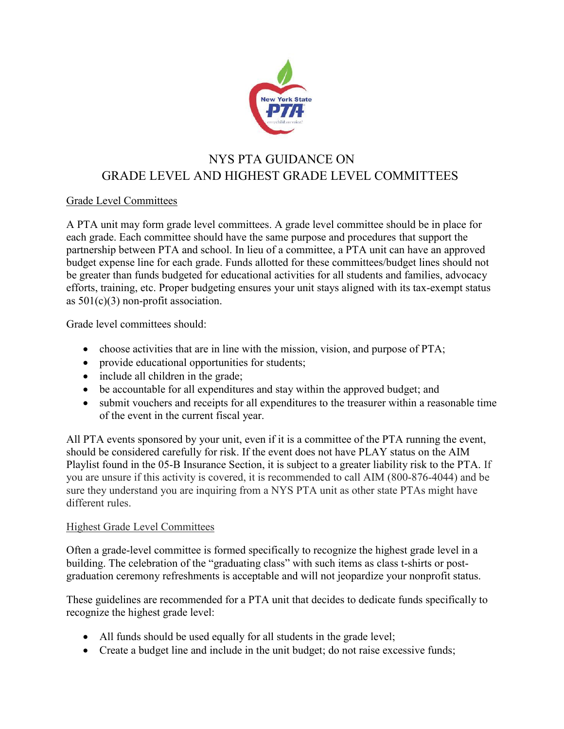

## NYS PTA GUIDANCE ON GRADE LEVEL AND HIGHEST GRADE LEVEL COMMITTEES

## Grade Level Committees

A PTA unit may form grade level committees. A grade level committee should be in place for each grade. Each committee should have the same purpose and procedures that support the partnership between PTA and school. In lieu of a committee, a PTA unit can have an approved budget expense line for each grade. Funds allotted for these committees/budget lines should not be greater than funds budgeted for educational activities for all students and families, advocacy efforts, training, etc. Proper budgeting ensures your unit stays aligned with its tax-exempt status as  $501(c)(3)$  non-profit association.

Grade level committees should:

- choose activities that are in line with the mission, vision, and purpose of PTA;
- provide educational opportunities for students;
- include all children in the grade;
- be accountable for all expenditures and stay within the approved budget; and
- submit vouchers and receipts for all expenditures to the treasurer within a reasonable time of the event in the current fiscal year.

All PTA events sponsored by your unit, even if it is a committee of the PTA running the event, should be considered carefully for risk. If the event does not have PLAY status on the AIM Playlist found in the 05-B Insurance Section, it is subject to a greater liability risk to the PTA. If you are unsure if this activity is covered, it is recommended to call AIM (800-876-4044) and be sure they understand you are inquiring from a NYS PTA unit as other state PTAs might have different rules.

## Highest Grade Level Committees

Often a grade-level committee is formed specifically to recognize the highest grade level in a building. The celebration of the "graduating class" with such items as class t-shirts or postgraduation ceremony refreshments is acceptable and will not jeopardize your nonprofit status.

These guidelines are recommended for a PTA unit that decides to dedicate funds specifically to recognize the highest grade level:

- All funds should be used equally for all students in the grade level;
- Create a budget line and include in the unit budget; do not raise excessive funds;